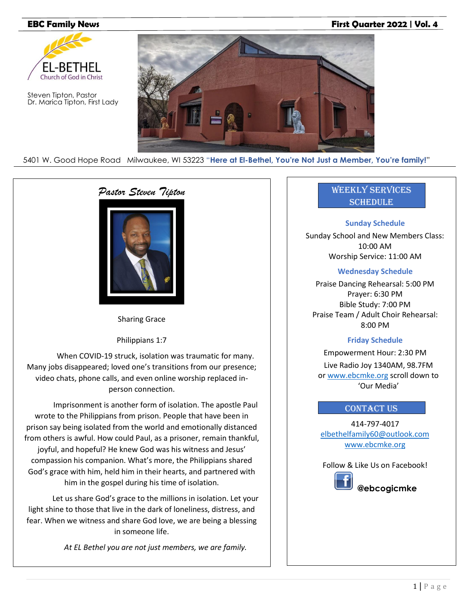# **EBC Family News First Quarter 2022 | Vol. 4**



Steven Tipton, Pastor Dr. Marica Tipton, First Lady



5401 W. Good Hope Road Milwaukee, WI 53223 "**Here at El-Bethel, You're Not Just a Member, You're family!**"

# *Pastor Steven Tipton*



Sharing Grace

Philippians 1:7

When COVID-19 struck, isolation was traumatic for many. Many jobs disappeared; loved one's transitions from our presence; video chats, phone calls, and even online worship replaced inperson connection.

Imprisonment is another form of isolation. The apostle Paul wrote to the Philippians from prison. People that have been in prison say being isolated from the world and emotionally distanced from others is awful. How could Paul, as a prisoner, remain thankful, joyful, and hopeful? He knew God was his witness and Jesus' compassion his companion. What's more, the Philippians shared God's grace with him, held him in their hearts, and partnered with him in the gospel during his time of isolation.

Let us share God's grace to the millions in isolation. Let your light shine to those that live in the dark of loneliness, distress, and fear. When we witness and share God love, we are being a blessing in someone life.

*At EL Bethel you are not just members, we are family.*

# Weekly Services **SCHEDULE**

# **Sunday Schedule**

Sunday School and New Members Class: 10:00 AM Worship Service: 11:00 AM

# **Wednesday Schedule**

Praise Dancing Rehearsal: 5:00 PM Prayer: 6:30 PM Bible Study: 7:00 PM Praise Team / Adult Choir Rehearsal: 8:00 PM

# **Friday Schedule**

Empowerment Hour: 2:30 PM Live Radio Joy 1340AM, 98.7FM or [www.ebcmke.org](http://www.ebcmke.org/) scroll down to 'Our Media'

# **CONTACT US**

414-797-4017 [elbethelfamily60@outlook.com](mailto:elbethelfamily60@outlook.com) [www.ebcmke.org](http://www.ebcmke.org/)

Follow & Like Us on Facebook!



 **@ebcogicmke**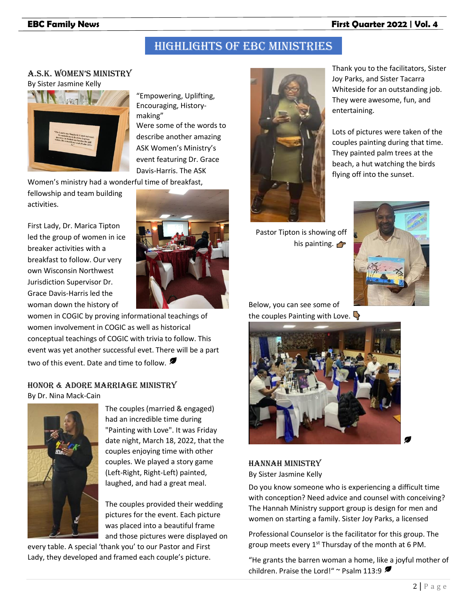# **EBC Family News First Quarter 2022 | Vol. 4**

# Highlights of EBC ministries

# A.S.K. Women'S miniStry By Sister Jasmine Kelly



"Empowering, Uplifting, Encouraging, Historymaking" Were some of the words to describe another amazing ASK Women's Ministry's event featuring Dr. Grace Davis-Harris. The ASK

Women's ministry had a wonderful time of breakfast,

fellowship and team building activities.

First Lady, Dr. Marica Tipton led the group of women in ice breaker activities with a breakfast to follow. Our very own Wisconsin Northwest Jurisdiction Supervisor Dr. Grace Davis-Harris led the woman down the history of



women in COGIC by proving informational teachings of women involvement in COGIC as well as historical conceptual teachings of COGIC with trivia to follow. This event was yet another successful evet. There will be a part two of this event. Date and time to follow.

# Honor & Adore Marriage Ministry By Dr. Nina Mack-Cain



The couples (married & engaged) had an incredible time during "Painting with Love". It was Friday date night, March 18, 2022, that the couples enjoying time with other couples. We played a story game (Left-Right, Right-Left) painted, laughed, and had a great meal.

The couples provided their wedding pictures for the event. Each picture was placed into a beautiful frame and those pictures were displayed on

every table. A special 'thank you' to our Pastor and First Lady, they developed and framed each couple's picture.



Pastor Tipton is showing off his painting.  $\bigoplus$ 

Thank you to the facilitators, Sister Joy Parks, and Sister Tacarra Whiteside for an outstanding job. They were awesome, fun, and entertaining.

Lots of pictures were taken of the couples painting during that time. They painted palm trees at the beach, a hut watching the birds flying off into the sunset.

# Below, you can see some of the couples Painting with Love.



Hannah Ministry By Sister Jasmine Kelly

Do you know someone who is experiencing a difficult time with conception? Need advice and counsel with conceiving? The Hannah Ministry support group is design for men and women on starting a family. Sister Joy Parks, a licensed

Professional Counselor is the facilitator for this group. The group meets every  $1<sup>st</sup>$  Thursday of the month at 6 PM.

"He grants the barren woman a home, like a joyful mother of children. Praise the Lord!" ~ Psalm 113:9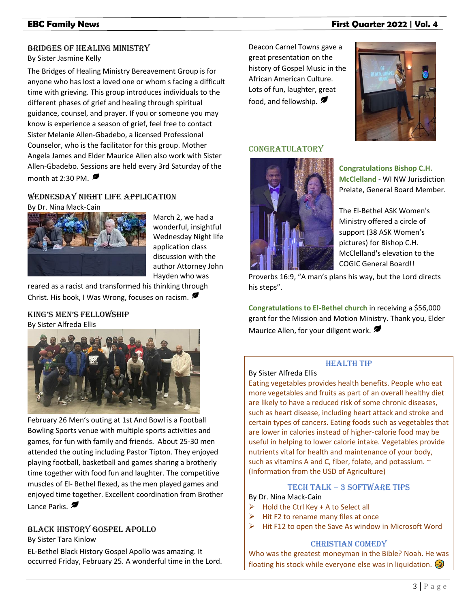### Bridges of Healing Ministry

#### By Sister Jasmine Kelly

The Bridges of Healing Ministry Bereavement Group is for anyone who has lost a loved one or whom s facing a difficult time with grieving. This group introduces individuals to the different phases of grief and healing through spiritual guidance, counsel, and prayer. If you or someone you may know is experience a season of grief, feel free to contact Sister Melanie Allen-Gbadebo, a licensed Professional Counselor, who is the facilitator for this group. Mother Angela James and Elder Maurice Allen also work with Sister Allen-Gbadebo. Sessions are held every 3rd Saturday of the month at 2:30 PM.  $\blacksquare$ 

# Wednesday Night Life Application

By Dr. Nina Mack-Cain



March 2, we had a wonderful, insightful Wednesday Night life application class discussion with the author Attorney John Hayden who was

reared as a racist and transformed his thinking through Christ. His book, I Was Wrong, focuses on racism.

# King'S men'S FelloWShip



February 26 Men's outing at 1st And Bowl is a Football Bowling Sports venue with multiple sports activities and games, for fun with family and friends. About 25-30 men attended the outing including Pastor Tipton. They enjoyed playing football, basketball and games sharing a brotherly time together with food fun and laughter. The competitive muscles of El- Bethel flexed, as the men played games and enjoyed time together. Excellent coordination from Brother Lance Parks.

# Black History Gospel Apollo

By Sister Tara Kinlow

EL-Bethel Black History Gospel Apollo was amazing. It occurred Friday, February 25. A wonderful time in the Lord.

# **EBC Family News First Quarter 2022 | Vol. 4**

Deacon Carnel Towns gave a great presentation on the history of Gospel Music in the African American Culture. Lots of fun, laughter, great food, and fellowship.



# Congratulatory



**Congratulations Bishop C.H. McClelland** - WI NW Jurisdiction Prelate, General Board Member.

The El-Bethel ASK Women's Ministry offered a circle of support (38 ASK Women's pictures) for Bishop C.H. McClelland's elevation to the COGIC General Board!!

Proverbs 16:9, "A man's plans his way, but the Lord directs his steps".

**Congratulations to El-Bethel church** in receiving a \$56,000 grant for the Mission and Motion Ministry. Thank you, Elder Maurice Allen, for your diligent work.

### Health Tip

### By Sister Alfreda Ellis

Eating vegetables provides health benefits. People who eat more vegetables and fruits as part of an overall healthy diet are likely to have a reduced risk of some chronic diseases, such as heart disease, including heart attack and stroke and certain types of cancers. Eating foods such as vegetables that are lower in calories instead of higher-calorie food may be useful in helping to lower calorie intake. Vegetables provide nutrients vital for health and maintenance of your body, such as vitamins A and C, fiber, folate, and potassium.  $\sim$ (Information from the USD of Agriculture)

# Tech Talk – 3 Software Tips

# By Dr. Nina Mack-Cain

- $\triangleright$  Hold the Ctrl Key + A to Select all
- Hit F2 to rename many files at once
- ➢ Hit F12 to open the Save As window in Microsoft Word

#### Christian Comedy

Who was the greatest moneyman in the Bible? Noah. He was floating his stock while everyone else was in liquidation.  $\Phi$